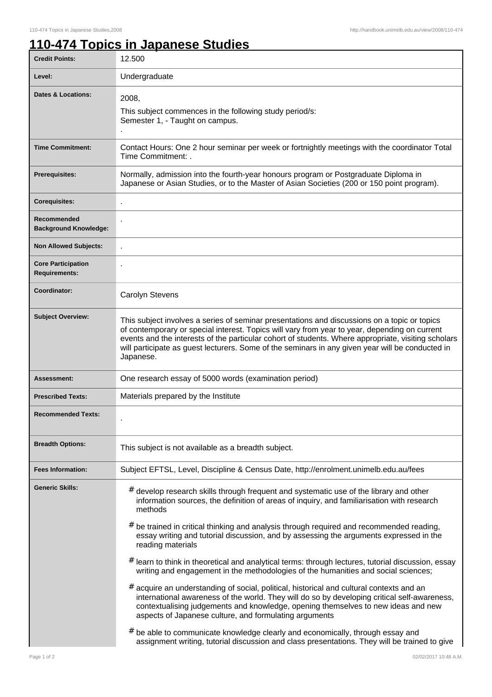٦

## **110-474 Topics in Japanese Studies**

| <b>Credit Points:</b>                             | 12.500                                                                                                                                                                                                                                                                                                                                                                                                                                                                                                                                                                                                                                                                                                                                                                                                                                                                                                                                                                                                                                                                                                                                     |
|---------------------------------------------------|--------------------------------------------------------------------------------------------------------------------------------------------------------------------------------------------------------------------------------------------------------------------------------------------------------------------------------------------------------------------------------------------------------------------------------------------------------------------------------------------------------------------------------------------------------------------------------------------------------------------------------------------------------------------------------------------------------------------------------------------------------------------------------------------------------------------------------------------------------------------------------------------------------------------------------------------------------------------------------------------------------------------------------------------------------------------------------------------------------------------------------------------|
| Level:                                            | Undergraduate                                                                                                                                                                                                                                                                                                                                                                                                                                                                                                                                                                                                                                                                                                                                                                                                                                                                                                                                                                                                                                                                                                                              |
| <b>Dates &amp; Locations:</b>                     | 2008,<br>This subject commences in the following study period/s:<br>Semester 1, - Taught on campus.                                                                                                                                                                                                                                                                                                                                                                                                                                                                                                                                                                                                                                                                                                                                                                                                                                                                                                                                                                                                                                        |
| <b>Time Commitment:</b>                           | Contact Hours: One 2 hour seminar per week or fortnightly meetings with the coordinator Total<br>Time Commitment: .                                                                                                                                                                                                                                                                                                                                                                                                                                                                                                                                                                                                                                                                                                                                                                                                                                                                                                                                                                                                                        |
| <b>Prerequisites:</b>                             | Normally, admission into the fourth-year honours program or Postgraduate Diploma in<br>Japanese or Asian Studies, or to the Master of Asian Societies (200 or 150 point program).                                                                                                                                                                                                                                                                                                                                                                                                                                                                                                                                                                                                                                                                                                                                                                                                                                                                                                                                                          |
| <b>Corequisites:</b>                              |                                                                                                                                                                                                                                                                                                                                                                                                                                                                                                                                                                                                                                                                                                                                                                                                                                                                                                                                                                                                                                                                                                                                            |
| Recommended<br><b>Background Knowledge:</b>       |                                                                                                                                                                                                                                                                                                                                                                                                                                                                                                                                                                                                                                                                                                                                                                                                                                                                                                                                                                                                                                                                                                                                            |
| <b>Non Allowed Subjects:</b>                      |                                                                                                                                                                                                                                                                                                                                                                                                                                                                                                                                                                                                                                                                                                                                                                                                                                                                                                                                                                                                                                                                                                                                            |
| <b>Core Participation</b><br><b>Requirements:</b> |                                                                                                                                                                                                                                                                                                                                                                                                                                                                                                                                                                                                                                                                                                                                                                                                                                                                                                                                                                                                                                                                                                                                            |
| Coordinator:                                      | <b>Carolyn Stevens</b>                                                                                                                                                                                                                                                                                                                                                                                                                                                                                                                                                                                                                                                                                                                                                                                                                                                                                                                                                                                                                                                                                                                     |
| <b>Subject Overview:</b>                          | This subject involves a series of seminar presentations and discussions on a topic or topics<br>of contemporary or special interest. Topics will vary from year to year, depending on current<br>events and the interests of the particular cohort of students. Where appropriate, visiting scholars<br>will participate as guest lecturers. Some of the seminars in any given year will be conducted in<br>Japanese.                                                                                                                                                                                                                                                                                                                                                                                                                                                                                                                                                                                                                                                                                                                      |
| Assessment:                                       | One research essay of 5000 words (examination period)                                                                                                                                                                                                                                                                                                                                                                                                                                                                                                                                                                                                                                                                                                                                                                                                                                                                                                                                                                                                                                                                                      |
| <b>Prescribed Texts:</b>                          | Materials prepared by the Institute                                                                                                                                                                                                                                                                                                                                                                                                                                                                                                                                                                                                                                                                                                                                                                                                                                                                                                                                                                                                                                                                                                        |
| <b>Recommended Texts:</b>                         |                                                                                                                                                                                                                                                                                                                                                                                                                                                                                                                                                                                                                                                                                                                                                                                                                                                                                                                                                                                                                                                                                                                                            |
| <b>Breadth Options:</b>                           | This subject is not available as a breadth subject.                                                                                                                                                                                                                                                                                                                                                                                                                                                                                                                                                                                                                                                                                                                                                                                                                                                                                                                                                                                                                                                                                        |
| <b>Fees Information:</b>                          | Subject EFTSL, Level, Discipline & Census Date, http://enrolment.unimelb.edu.au/fees                                                                                                                                                                                                                                                                                                                                                                                                                                                                                                                                                                                                                                                                                                                                                                                                                                                                                                                                                                                                                                                       |
| <b>Generic Skills:</b>                            | # develop research skills through frequent and systematic use of the library and other<br>information sources, the definition of areas of inquiry, and familiarisation with research<br>methods<br>$#$ be trained in critical thinking and analysis through required and recommended reading,<br>essay writing and tutorial discussion, and by assessing the arguments expressed in the<br>reading materials<br>$#$ learn to think in theoretical and analytical terms: through lectures, tutorial discussion, essay<br>writing and engagement in the methodologies of the humanities and social sciences;<br># acquire an understanding of social, political, historical and cultural contexts and an<br>international awareness of the world. They will do so by developing critical self-awareness,<br>contextualising judgements and knowledge, opening themselves to new ideas and new<br>aspects of Japanese culture, and formulating arguments<br>$#$ be able to communicate knowledge clearly and economically, through essay and<br>assignment writing, tutorial discussion and class presentations. They will be trained to give |